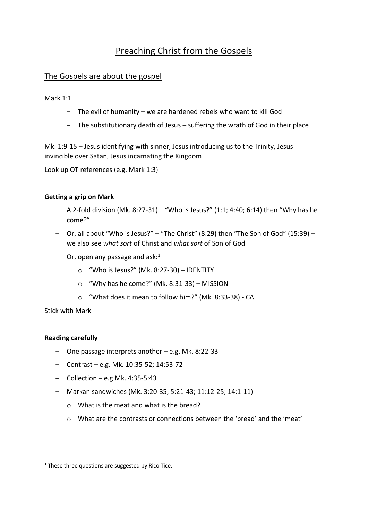# Preaching Christ from the Gospels

# The Gospels are about the gospel

Mark 1:1

- The evil of humanity we are hardened rebels who want to kill God
- The substitutionary death of Jesus suffering the wrath of God in their place

Mk. 1:9-15 – Jesus identifying with sinner, Jesus introducing us to the Trinity, Jesus invincible over Satan, Jesus incarnating the Kingdom

Look up OT references (e.g. Mark 1:3)

#### **Getting a grip on Mark**

- A 2-fold division (Mk. 8:27-31) "Who is Jesus?" (1:1; 4:40; 6:14) then "Why has he come?"
- Or, all about "Who is Jesus?" "The Christ" (8:29) then "The Son of God" (15:39) we also see *what sort* of Christ and *what sort* of Son of God
- $-$  Or, open any passage and ask:<sup>1</sup>
	- o "Who is Jesus?" (Mk. 8:27-30) IDENTITY
	- o "Why has he come?" (Mk. 8:31-33) MISSION
	- o "What does it mean to follow him?" (Mk. 8:33-38) CALL

Stick with Mark

## **Reading carefully**

1

- One passage interprets another e.g. Mk. 8:22-33
- Contrast e.g. Mk. 10:35-52; 14:53-72
- $-$  Collection e.g Mk. 4:35-5:43
- Markan sandwiches (Mk. 3:20-35; 5:21-43; 11:12-25; 14:1-11)
	- o What is the meat and what is the bread?
	- o What are the contrasts or connections between the 'bread' and the 'meat'

 $1$  These three questions are suggested by Rico Tice.